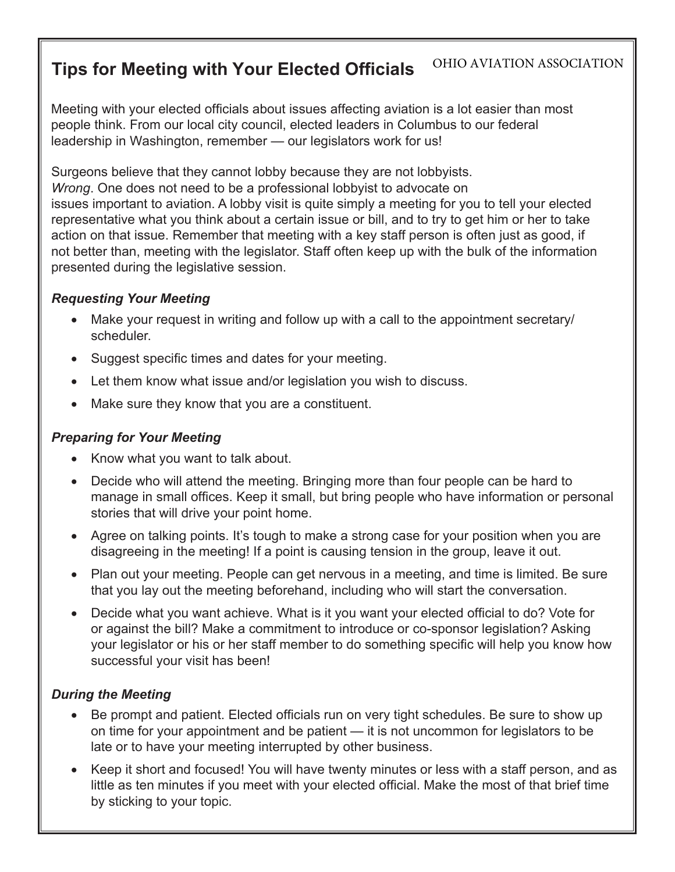#### **Tips for Meeting with Your Elected Officials** OHIO AVIATION ASSOCIATION

Meeting with your elected officials about issues affecting aviation is a lot easier than most people think. From our local city council, elected leaders in Columbus to our federal leadership in Washington, remember — our legislators work for us!

Surgeons believe that they cannot lobby because they are not lobbyists. *Wrong*. One does not need to be a professional lobbyist to advocate on issues important to aviation. A lobby visit is quite simply a meeting for you to tell your elected representative what you think about a certain issue or bill, and to try to get him or her to take action on that issue. Remember that meeting with a key staff person is often just as good, if not better than, meeting with the legislator. Staff often keep up with the bulk of the information presented during the legislative session.

## *Requesting Your Meeting*

- Make your request in writing and follow up with a call to the appointment secretary/ scheduler.
- Suggest specific times and dates for your meeting.
- Let them know what issue and/or legislation you wish to discuss.
- Make sure they know that you are a constituent.

### *Preparing for Your Meeting*

- Know what you want to talk about.
- Decide who will attend the meeting. Bringing more than four people can be hard to manage in small offices. Keep it small, but bring people who have information or personal stories that will drive your point home.
- Agree on talking points. It's tough to make a strong case for your position when you are disagreeing in the meeting! If a point is causing tension in the group, leave it out.
- Plan out your meeting. People can get nervous in a meeting, and time is limited. Be sure that you lay out the meeting beforehand, including who will start the conversation.
- Decide what you want achieve. What is it you want your elected official to do? Vote for or against the bill? Make a commitment to introduce or co-sponsor legislation? Asking your legislator or his or her staff member to do something specific will help you know how successful your visit has been!

# *During the Meeting*

- Be prompt and patient. Elected officials run on very tight schedules. Be sure to show up on time for your appointment and be patient — it is not uncommon for legislators to be late or to have your meeting interrupted by other business.
- Keep it short and focused! You will have twenty minutes or less with a staff person, and as little as ten minutes if you meet with your elected official. Make the most of that brief time by sticking to your topic.